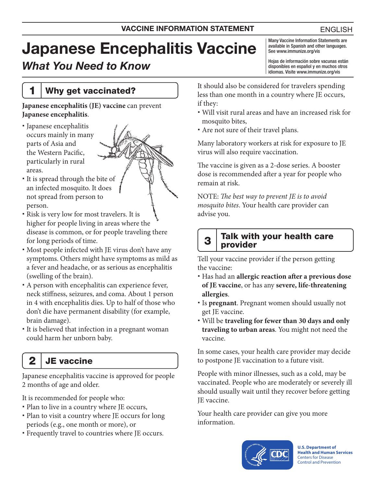# Japanese Encephalitis Vaccine

# *What You Need to Know*

1 Why get vaccinated?

#### **Japanese encephalitis (JE) vaccine** can prevent **Japanese encephalitis**.

- Japanese encephalitis occurs mainly in many parts of Asia and the Western Pacific, particularly in rural areas.
- It is spread through the bite of an infected mosquito. It does not spread from person to person.
- Risk is very low for most travelers. It is higher for people living in areas where the disease is common, or for people traveling there for long periods of time.
- Most people infected with JE virus don't have any symptoms. Others might have symptoms as mild as a fever and headache, or as serious as encephalitis (swelling of the brain).
- A person with encephalitis can experience fever, neck stiffness, seizures, and coma. About 1 person in 4 with encephalitis dies. Up to half of those who don't die have permanent disability (for example, brain damage).
- It is believed that infection in a pregnant woman could harm her unborn baby.
	- $2 \mid$  JE vaccine

Japanese encephalitis vaccine is approved for people 2 months of age and older.

It is recommended for people who:

- Plan to live in a country where JE occurs,
- Plan to visit a country where JE occurs for long periods (e.g., one month or more), or
- Frequently travel to countries where JE occurs.

Many Vaccine Information Statements are available in Spanish and other languages. See [www.immunize.org/vis](http://www.immunize.org/vis)

Hojas de información sobre vacunas están disponibles en español y en muchos otros idiomas. Visite [www.immunize.org/vis](http://www.immunize.org/vis)

It should also be considered for travelers spending less than one month in a country where JE occurs, if they:

- Will visit rural areas and have an increased risk for mosquito bites,
- Are not sure of their travel plans.

Many laboratory workers at risk for exposure to JE virus will also require vaccination.

The vaccine is given as a 2-dose series. A booster dose is recommended after a year for people who remain at risk.

NOTE: *The best way to prevent JE is to avoid mosquito bites*. Your health care provider can advise you.

#### $3$  Talk with your health care provider

Tell your vaccine provider if the person getting the vaccine:

- Has had an **allergic reaction after a previous dose of JE vaccine**, or has any **severe, life-threatening allergies**.
- Is **pregnant**. Pregnant women should usually not get JE vaccine.
- Will be **traveling for fewer than 30 days and only traveling to urban areas**. You might not need the vaccine.

In some cases, your health care provider may decide to postpone JE vaccination to a future visit.

People with minor illnesses, such as a cold, may be vaccinated. People who are moderately or severely ill should usually wait until they recover before getting JE vaccine.

Your health care provider can give you more information.



**U.S. Department of Health and Human Services**  Centers for Disease Control and Prevention

#### ENGLISH